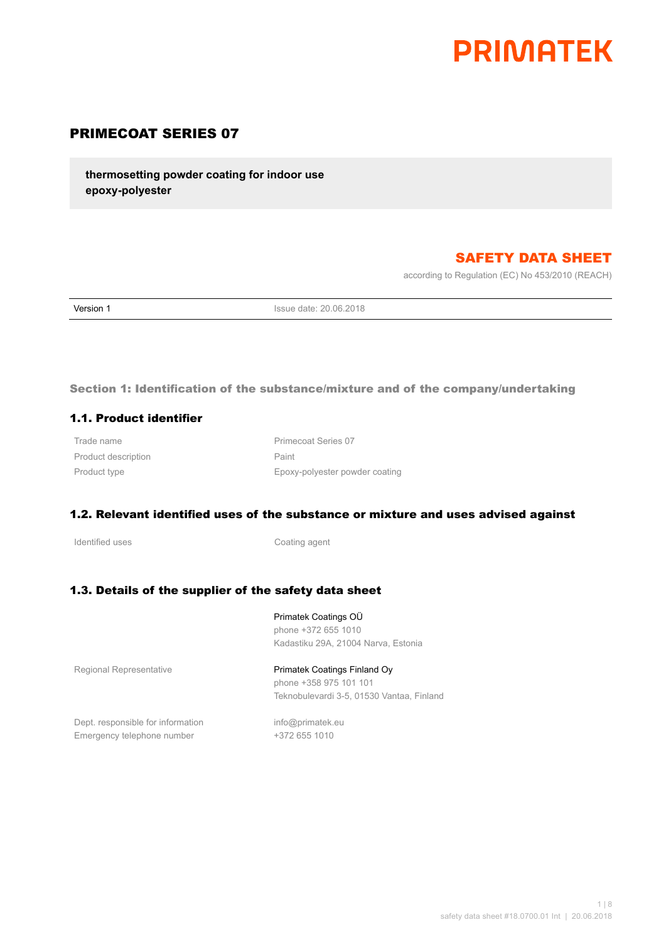# **PRIMATEK**

# PRIMECOAT SERIES 07

**thermosetting powder coating for indoor use epoxy-polyester**

# SAFETY DATA SHEET

according to Regulation (EC) No 453/2010 (REACH)

**Version 1 Issue date: 20.06.2018** 

## Section 1: Identification of the substance/mixture and of the company/undertaking

## 1.1. Product identifier

Product description **Paint** 

Trade name **Primecoat Series 07** Product type **Epoxy-polyester powder coating** Epoxy-polyester powder coating

## 1.2. Relevant identified uses of the substance or mixture and uses advised against

Identified uses **Coating agent** 

## 1.3. Details of the supplier of the safety data sheet

Primatek Coatings OÜ phone +372 655 1010 Kadastiku 29A, 21004 Narva, Estonia

# Regional Representative **Primatek Coatings Finland Oy** phone +358 975 101 101

Teknobulevardi 3-5, 01530 Vantaa, Finland

Dept. responsible for information info@primatek.eu Emergency telephone number +372 655 1010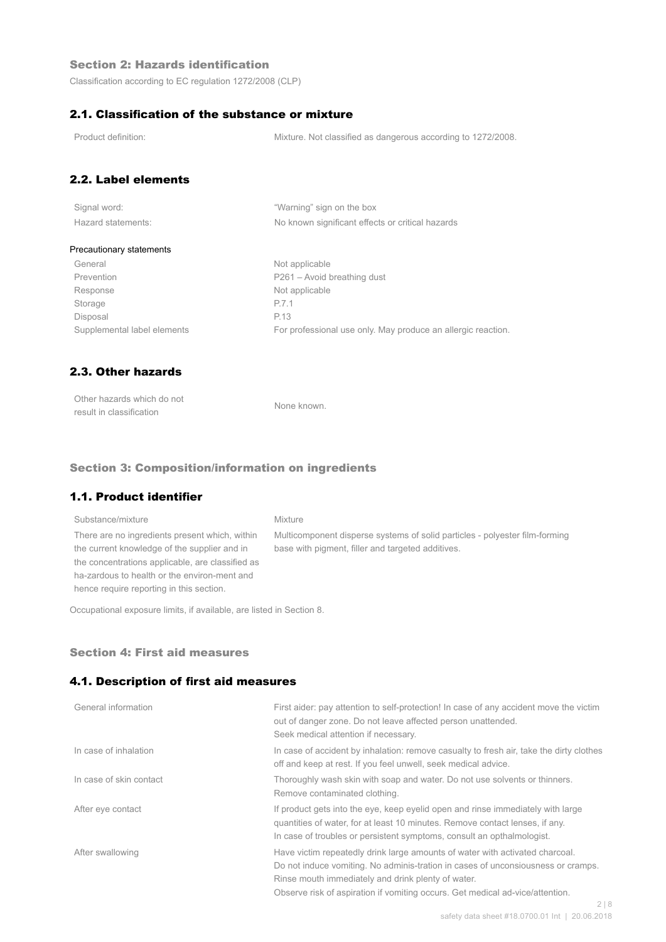## Section 2: Hazards identification

Classification according to EC regulation 1272/2008 (CLP)

## 2.1. Classification of the substance or mixture

Product definition: Mixture. Not classified as dangerous according to 1272/2008.

# 2.2. Label elements

| Signal word:       |  |
|--------------------|--|
| Hazard statements: |  |

"Warning" sign on the box No known significant effects or critical hazards

Not applicable

#### Precautionary statements

| General                     | Not <sub>5</sub> |
|-----------------------------|------------------|
| Prevention                  | P261             |
| Response                    | Not a            |
| Storage                     | P.7.1            |
| Disposal                    | P.13             |
| Supplemental label elements | For p            |

P261 – Avoid breathing dust Not applicable For professional use only. May produce an allergic reaction.

# 2.3. Other hazards

| Other hazards which do not | None known. |
|----------------------------|-------------|
| result in classification   |             |

#### Section 3: Composition/information on ingredients

## 1.1. Product identifier

## Substance/mixture Mixture There are no ingredients present which, within the current knowledge of the supplier and in the concentrations applicable, are classified as ha-zardous to health or the environ-ment and hence require reporting in this section.

Multicomponent disperse systems of solid particles - polyester film-forming base with pigment, filler and targeted additives.

Occupational exposure limits, if available, are listed in Section 8.

#### Section 4: First aid measures

## 4.1. Description of first aid measures

| General information     | First aider: pay attention to self-protection! In case of any accident move the victim<br>out of danger zone. Do not leave affected person unattended.<br>Seek medical attention if necessary.                                                                                                                            |
|-------------------------|---------------------------------------------------------------------------------------------------------------------------------------------------------------------------------------------------------------------------------------------------------------------------------------------------------------------------|
| In case of inhalation   | In case of accident by inhalation: remove casualty to fresh air, take the dirty clothes<br>off and keep at rest. If you feel unwell, seek medical advice.                                                                                                                                                                 |
| In case of skin contact | Thoroughly wash skin with soap and water. Do not use solvents or thinners.<br>Remove contaminated clothing.                                                                                                                                                                                                               |
| After eye contact       | If product gets into the eye, keep eyelid open and rinse immediately with large<br>guantities of water, for at least 10 minutes. Remove contact lenses, if any.<br>In case of troubles or persistent symptoms, consult an opthalmologist.                                                                                 |
| After swallowing        | Have victim repeatedly drink large amounts of water with activated charcoal.<br>Do not induce vomiting. No adminis-tration in cases of unconsiousness or cramps.<br>Rinse mouth immediately and drink plenty of water.<br>Observe risk of aspiration if vomiting occurs. Get medical ad-vice/attention.<br>2 <sub>1</sub> |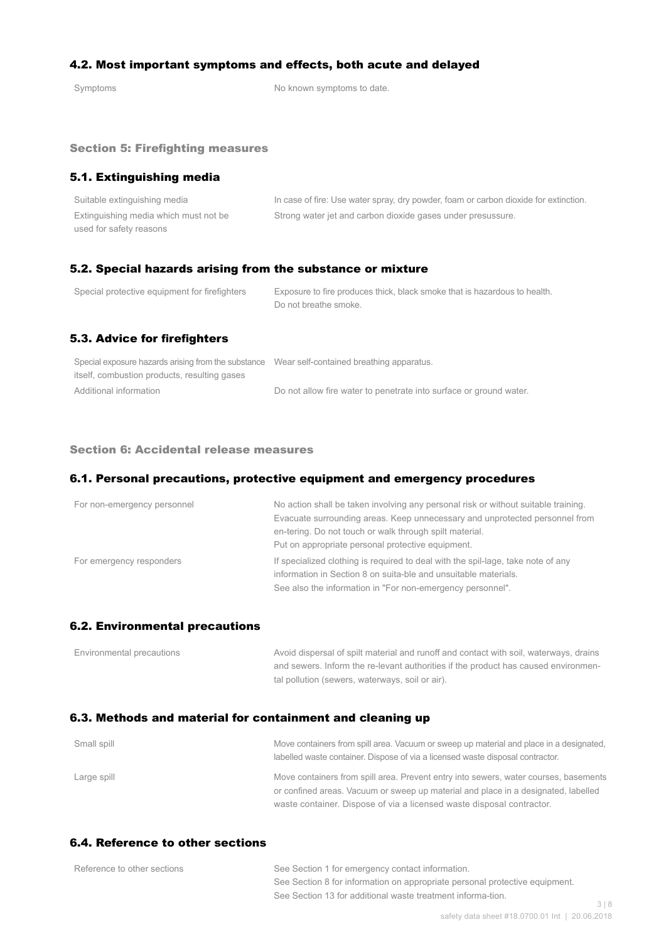## 4.2. Most important symptoms and effects, both acute and delayed

Symptoms Symptoms of the Symptoms to date.

#### Section 5: Firefighting measures

## 5.1. Extinguishing media

| Suitable extinguishing media          | In case of fire: Use water spray, dry powder, foam or carbon dioxide for extinction. |
|---------------------------------------|--------------------------------------------------------------------------------------|
| Extinguishing media which must not be | Strong water jet and carbon dioxide gases under presussure.                          |
| used for safety reasons               |                                                                                      |

## 5.2. Special hazards arising from the substance or mixture

| Special protective equipment for firefighters | Exposure to fire produces thick, black smoke that is hazardous to health.<br>Do not breathe smoke. |
|-----------------------------------------------|----------------------------------------------------------------------------------------------------|
| 5.3. Advice for firefighters                  |                                                                                                    |

| Special exposure hazards arising from the substance Wear self-contained breathing apparatus. |                                                                    |
|----------------------------------------------------------------------------------------------|--------------------------------------------------------------------|
| itself, combustion products, resulting gases                                                 |                                                                    |
| Additional information                                                                       | Do not allow fire water to penetrate into surface or ground water. |

#### Section 6: Accidental release measures

## 6.1. Personal precautions, protective equipment and emergency procedures

| For non-emergency personnel | No action shall be taken involving any personal risk or without suitable training.<br>Evacuate surrounding areas. Keep unnecessary and unprotected personnel from<br>en-tering. Do not touch or walk through spilt material.<br>Put on appropriate personal protective equipment. |
|-----------------------------|-----------------------------------------------------------------------------------------------------------------------------------------------------------------------------------------------------------------------------------------------------------------------------------|
| For emergency responders    | If specialized clothing is required to deal with the spil-lage, take note of any<br>information in Section 8 on suita-ble and unsuitable materials.<br>See also the information in "For non-emergency personnel".                                                                 |

#### 6.2. Environmental precautions

| Environmental precautions | Avoid dispersal of spilt material and runoff and contact with soil, waterways, drains |
|---------------------------|---------------------------------------------------------------------------------------|
|                           | and sewers. Inform the re-levant authorities if the product has caused environmen-    |
|                           | tal pollution (sewers, waterways, soil or air).                                       |

## 6.3. Methods and material for containment and cleaning up

| Small spill | Move containers from spill area. Vacuum or sweep up material and place in a designated,<br>labelled waste container. Dispose of via a licensed waste disposal contractor.  |
|-------------|----------------------------------------------------------------------------------------------------------------------------------------------------------------------------|
| Large spill | Move containers from spill area. Prevent entry into sewers, water courses, basements<br>or confined areas. Vacuum or sweep up material and place in a designated, labelled |
|             | waste container. Dispose of via a licensed waste disposal contractor.                                                                                                      |

# 6.4. Reference to other sections

| Reference to other sections | See Section 1 for emergency contact information.                            |     |
|-----------------------------|-----------------------------------------------------------------------------|-----|
|                             | See Section 8 for information on appropriate personal protective equipment. |     |
|                             | See Section 13 for additional waste treatment informa-tion.                 |     |
|                             |                                                                             | 318 |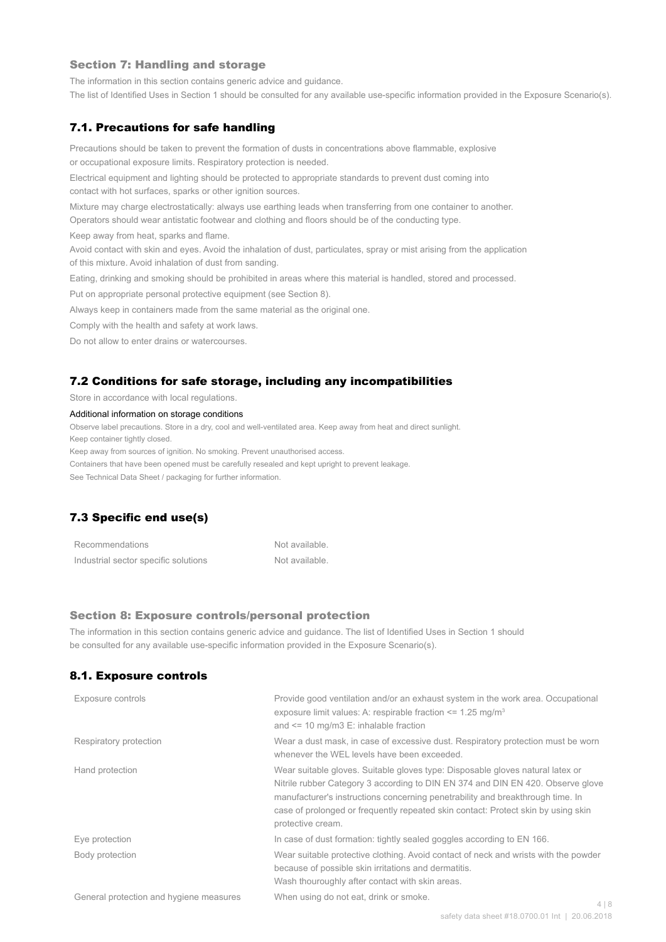#### Section 7: Handling and storage

The information in this section contains generic advice and guidance.

The list of Identified Uses in Section 1 should be consulted for any available use-specific information provided in the Exposure Scenario(s).

## 7.1. Precautions for safe handling

Precautions should be taken to prevent the formation of dusts in concentrations above flammable, explosive or occupational exposure limits. Respiratory protection is needed.

Electrical equipment and lighting should be protected to appropriate standards to prevent dust coming into contact with hot surfaces, sparks or other ignition sources.

Mixture may charge electrostatically: always use earthing leads when transferring from one container to another.

Operators should wear antistatic footwear and clothing and floors should be of the conducting type.

Keep away from heat, sparks and flame.

Avoid contact with skin and eyes. Avoid the inhalation of dust, particulates, spray or mist arising from the application of this mixture. Avoid inhalation of dust from sanding.

Eating, drinking and smoking should be prohibited in areas where this material is handled, stored and processed.

Put on appropriate personal protective equipment (see Section 8).

Always keep in containers made from the same material as the original one.

Comply with the health and safety at work laws.

Do not allow to enter drains or watercourses.

#### 7.2 Conditions for safe storage, including any incompatibilities

Store in accordance with local regulations.

#### Additional information on storage conditions

Observe label precautions. Store in a dry, cool and well-ventilated area. Keep away from heat and direct sunlight.

Keep container tightly closed.

Keep away from sources of ignition. No smoking. Prevent unauthorised access.

Containers that have been opened must be carefully resealed and kept upright to prevent leakage.

See Technical Data Sheet / packaging for further information.

# 7.3 Specific end use(s)

| Recommendations                      | Not available. |
|--------------------------------------|----------------|
| Industrial sector specific solutions | Not available. |

#### Section 8: Exposure controls/personal protection

The information in this section contains generic advice and guidance. The list of Identified Uses in Section 1 should be consulted for any available use-specific information provided in the Exposure Scenario(s).

## 8.1. Exposure controls

| Exposure controls                       | Provide good ventilation and/or an exhaust system in the work area. Occupational<br>exposure limit values: A: respirable fraction $\leq$ 1.25 mg/m <sup>3</sup><br>and $\le$ 10 mg/m3 E: inhalable fraction                                                                                                                                                   |       |
|-----------------------------------------|---------------------------------------------------------------------------------------------------------------------------------------------------------------------------------------------------------------------------------------------------------------------------------------------------------------------------------------------------------------|-------|
| Respiratory protection                  | Wear a dust mask, in case of excessive dust. Respiratory protection must be worn<br>whenever the WEL levels have been exceeded.                                                                                                                                                                                                                               |       |
| Hand protection                         | Wear suitable gloves. Suitable gloves type: Disposable gloves natural latex or<br>Nitrile rubber Category 3 according to DIN EN 374 and DIN EN 420. Observe glove<br>manufacturer's instructions concerning penetrability and breakthrough time. In<br>case of prolonged or frequently repeated skin contact: Protect skin by using skin<br>protective cream. |       |
| Eye protection                          | In case of dust formation: tightly sealed goggles according to EN 166.                                                                                                                                                                                                                                                                                        |       |
| Body protection                         | Wear suitable protective clothing. Avoid contact of neck and wrists with the powder<br>because of possible skin irritations and dermatitis.<br>Wash thouroughly after contact with skin areas.                                                                                                                                                                |       |
| General protection and hygiene measures | When using do not eat, drink or smoke.                                                                                                                                                                                                                                                                                                                        | 4   8 |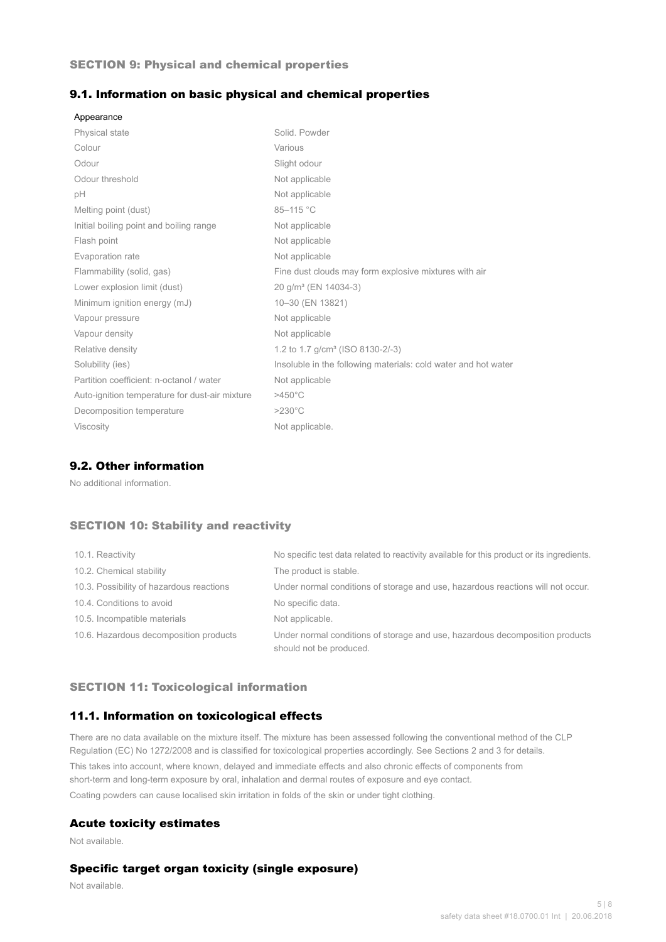## SECTION 9: Physical and chemical properties

## 9.1. Information on basic physical and chemical properties

| Appearance                                     |                                                                |
|------------------------------------------------|----------------------------------------------------------------|
| <b>Physical state</b>                          | Solid, Powder                                                  |
| Colour                                         | Various                                                        |
| Odour                                          | Slight odour                                                   |
| Odour threshold                                | Not applicable                                                 |
| рH                                             | Not applicable                                                 |
| Melting point (dust)                           | 85-115 °C                                                      |
| Initial boiling point and boiling range        | Not applicable                                                 |
| Flash point                                    | Not applicable                                                 |
| Evaporation rate                               | Not applicable                                                 |
| Flammability (solid, gas)                      | Fine dust clouds may form explosive mixtures with air          |
| Lower explosion limit (dust)                   | 20 g/m <sup>3</sup> (EN 14034-3)                               |
| Minimum ignition energy (mJ)                   | 10-30 (EN 13821)                                               |
| Vapour pressure                                | Not applicable                                                 |
| Vapour density                                 | Not applicable                                                 |
| Relative density                               | 1.2 to 1.7 g/cm <sup>3</sup> (ISO 8130-2/-3)                   |
| Solubility (ies)                               | Insoluble in the following materials: cold water and hot water |
| Partition coefficient: n-octanol / water       | Not applicable                                                 |
| Auto-ignition temperature for dust-air mixture | $>450^{\circ}$ C                                               |
| Decomposition temperature                      | $>230^{\circ}$ C                                               |
| <b>Viscosity</b>                               | Not applicable.                                                |

## 9.2. Other information

No additional information.

## SECTION 10: Stability and reactivity

| 10.1. Reactivity                         | No specific test data related to reactivity available for this product or its ingredients.              |
|------------------------------------------|---------------------------------------------------------------------------------------------------------|
| 10.2. Chemical stability                 | The product is stable.                                                                                  |
| 10.3. Possibility of hazardous reactions | Under normal conditions of storage and use, hazardous reactions will not occur.                         |
| 10.4. Conditions to avoid                | No specific data.                                                                                       |
| 10.5. Incompatible materials             | Not applicable.                                                                                         |
| 10.6. Hazardous decomposition products   | Under normal conditions of storage and use, hazardous decomposition products<br>should not be produced. |

## SECTION 11: Toxicological information

## 11.1. Information on toxicological effects

There are no data available on the mixture itself. The mixture has been assessed following the conventional method of the CLP Regulation (EC) No 1272/2008 and is classified for toxicological properties accordingly. See Sections 2 and 3 for details. This takes into account, where known, delayed and immediate effects and also chronic effects of components from short-term and long-term exposure by oral, inhalation and dermal routes of exposure and eye contact. Coating powders can cause localised skin irritation in folds of the skin or under tight clothing.

#### Acute toxicity estimates

Not available.

## Specific target organ toxicity (single exposure)

Not available.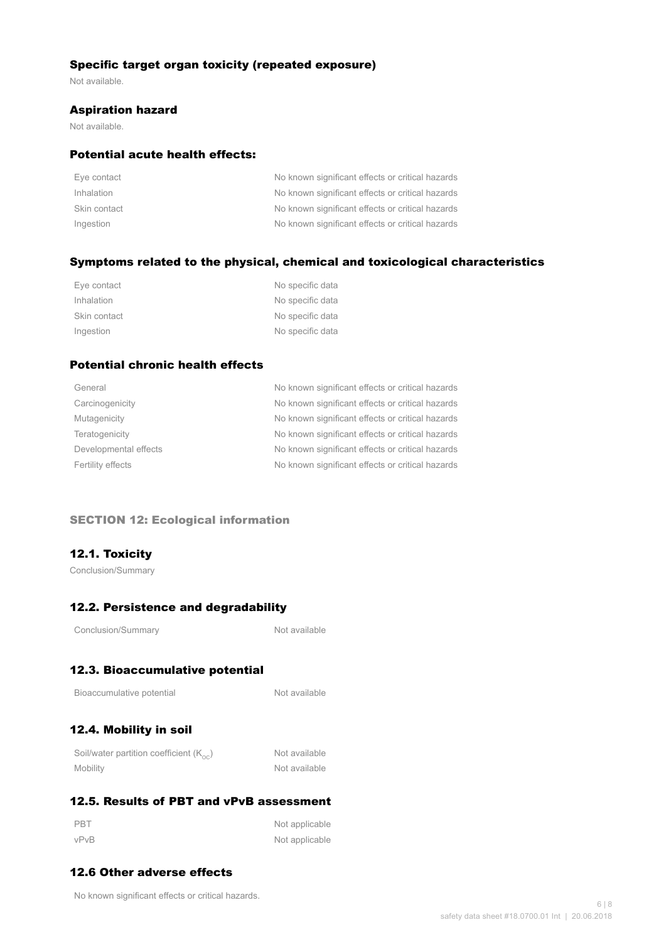## Specific target organ toxicity (repeated exposure)

Not available.

## Aspiration hazard

Not available.

## Potential acute health effects:

| Eye contact  | No known significant effects or critical hazards |
|--------------|--------------------------------------------------|
| Inhalation   | No known significant effects or critical hazards |
| Skin contact | No known significant effects or critical hazards |
| Ingestion    | No known significant effects or critical hazards |

## Symptoms related to the physical, chemical and toxicological characteristics

| Eye contact  | No specific data |
|--------------|------------------|
| Inhalation   | No specific data |
| Skin contact | No specific data |
| Ingestion    | No specific data |

# Potential chronic health effects

| General               | No known significant effects or critical hazards |
|-----------------------|--------------------------------------------------|
| Carcinogenicity       | No known significant effects or critical hazards |
| Mutagenicity          | No known significant effects or critical hazards |
| Teratogenicity        | No known significant effects or critical hazards |
| Developmental effects | No known significant effects or critical hazards |
| Fertility effects     | No known significant effects or critical hazards |
|                       |                                                  |

## SECTION 12: Ecological information

## 12.1. Toxicity

Conclusion/Summary

# 12.2. Persistence and degradability

Not available

# 12.3. Bioaccumulative potential

| Bioaccumulative potential |  |
|---------------------------|--|
|---------------------------|--|

Not available

# 12.4. Mobility in soil

| Soil/water partition coefficient $(K_{\text{oc}})$ | Not available |
|----------------------------------------------------|---------------|
| Mobility                                           | Not available |

# 12.5. Results of PBT and vPvB assessment

| <b>PBT</b> | Not applicable |
|------------|----------------|
| vPvB       | Not applicable |

# 12.6 Other adverse effects

No known significant effects or critical hazards.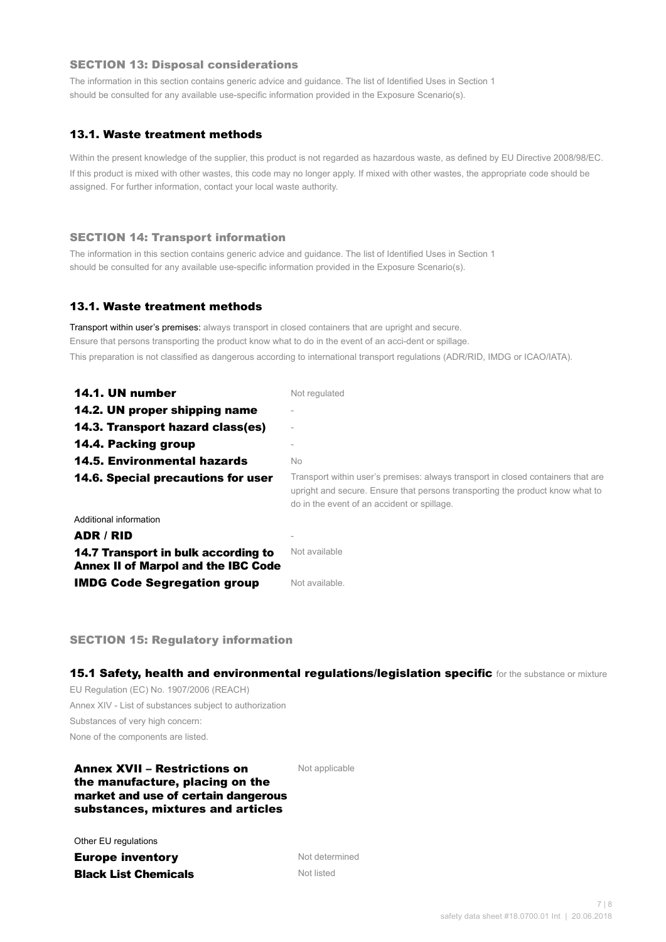## SECTION 13: Disposal considerations

The information in this section contains generic advice and guidance. The list of Identified Uses in Section 1 should be consulted for any available use-specific information provided in the Exposure Scenario(s).

## 13.1. Waste treatment methods

Within the present knowledge of the supplier, this product is not regarded as hazardous waste, as defined by EU Directive 2008/98/EC. If this product is mixed with other wastes, this code may no longer apply. If mixed with other wastes, the appropriate code should be assigned. For further information, contact your local waste authority.

#### SECTION 14: Transport information

The information in this section contains generic advice and guidance. The list of Identified Uses in Section 1 should be consulted for any available use-specific information provided in the Exposure Scenario(s).

### 13.1. Waste treatment methods

Transport within user's premises: always transport in closed containers that are upright and secure. Ensure that persons transporting the product know what to do in the event of an acci-dent or spillage. This preparation is not classified as dangerous according to international transport regulations (ADR/RID, IMDG or ICAO/IATA).

| 14.1. UN number                                                                   | Not regulated                                                                                                                                                                                                    |
|-----------------------------------------------------------------------------------|------------------------------------------------------------------------------------------------------------------------------------------------------------------------------------------------------------------|
| 14.2. UN proper shipping name                                                     |                                                                                                                                                                                                                  |
| 14.3. Transport hazard class(es)                                                  |                                                                                                                                                                                                                  |
| 14.4. Packing group                                                               |                                                                                                                                                                                                                  |
| <b>14.5. Environmental hazards</b>                                                | No.                                                                                                                                                                                                              |
| 14.6. Special precautions for user                                                | Transport within user's premises: always transport in closed containers that are<br>upright and secure. Ensure that persons transporting the product know what to<br>do in the event of an accident or spillage. |
| Additional information                                                            |                                                                                                                                                                                                                  |
| ADR / RID                                                                         |                                                                                                                                                                                                                  |
| 14.7 Transport in bulk according to<br><b>Annex II of Marpol and the IBC Code</b> | Not available                                                                                                                                                                                                    |
| <b>IMDG Code Segregation group</b>                                                | Not available.                                                                                                                                                                                                   |

SECTION 15: Regulatory information

15.1 Safety, health and environmental regulations/legislation specific for the substance or mixture

EU Regulation (EC) No. 1907/2006 (REACH) Annex XIV - List of substances subject to authorization Substances of very high concern: None of the components are listed.

## Annex XVII – Restrictions on the manufacture, placing on the market and use of certain dangerous substances, mixtures and articles

Not applicable

Other EU regulations

**Europe inventory** Not determined **Black List Chemicals** Not listed